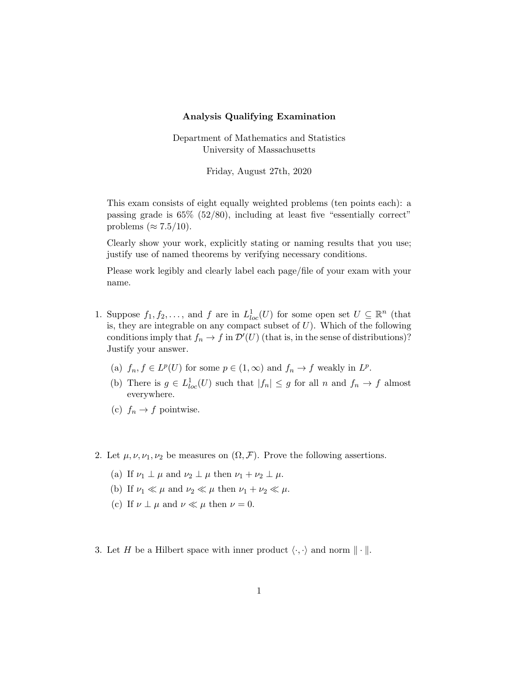## Analysis Qualifying Examination

Department of Mathematics and Statistics University of Massachusetts

Friday, August 27th, 2020

This exam consists of eight equally weighted problems (ten points each): a passing grade is 65% (52/80), including at least five "essentially correct" problems ( $\approx 7.5/10$ ).

Clearly show your work, explicitly stating or naming results that you use; justify use of named theorems by verifying necessary conditions.

Please work legibly and clearly label each page/file of your exam with your name.

- 1. Suppose  $f_1, f_2, \ldots$ , and f are in  $L^1_{loc}(U)$  for some open set  $U \subseteq \mathbb{R}^n$  (that is, they are integrable on any compact subset of  $U$ ). Which of the following conditions imply that  $f_n \to f$  in  $\mathcal{D}'(U)$  (that is, in the sense of distributions)? Justify your answer.
	- (a)  $f_n, f \in L^p(U)$  for some  $p \in (1, \infty)$  and  $f_n \to f$  weakly in  $L^p$ .
	- (b) There is  $g \in L^1_{loc}(U)$  such that  $|f_n| \leq g$  for all n and  $f_n \to f$  almost everywhere.
	- (c)  $f_n \to f$  pointwise.
- 2. Let  $\mu, \nu, \nu_1, \nu_2$  be measures on  $(\Omega, \mathcal{F})$ . Prove the following assertions.
	- (a) If  $\nu_1 \perp \mu$  and  $\nu_2 \perp \mu$  then  $\nu_1 + \nu_2 \perp \mu$ .
	- (b) If  $\nu_1 \ll \mu$  and  $\nu_2 \ll \mu$  then  $\nu_1 + \nu_2 \ll \mu$ .
	- (c) If  $\nu \perp \mu$  and  $\nu \ll \mu$  then  $\nu = 0$ .
- 3. Let H be a Hilbert space with inner product  $\langle \cdot, \cdot \rangle$  and norm  $\|\cdot\|$ .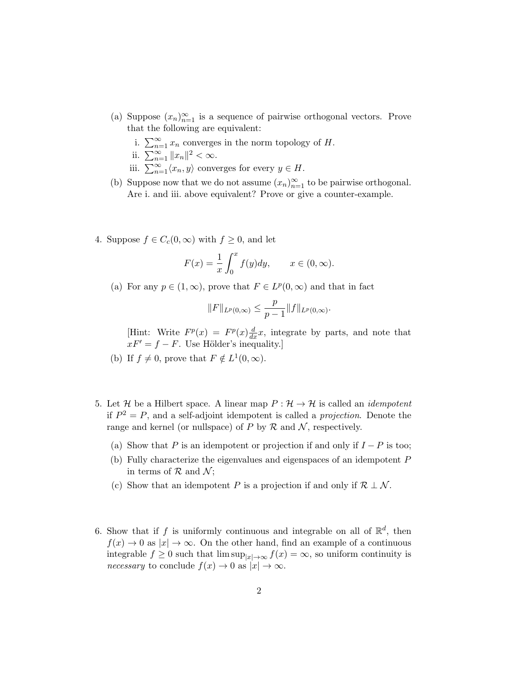- (a) Suppose  $(x_n)_{n=1}^{\infty}$  is a sequence of pairwise orthogonal vectors. Prove that the following are equivalent:
	- i.  $\sum_{n=1}^{\infty} x_n$  converges in the norm topology of H.

ii. 
$$
\sum_{n=1}^{\infty} \|x_n\|^2 < \infty
$$
.

- iii.  $\sum_{n=1}^{\infty} \langle x_n, y \rangle$  converges for every  $y \in H$ .
- (b) Suppose now that we do not assume  $(x_n)_{n=1}^{\infty}$  to be pairwise orthogonal. Are i. and iii. above equivalent? Prove or give a counter-example.
- 4. Suppose  $f \in C_c(0,\infty)$  with  $f \geq 0$ , and let

$$
F(x) = \frac{1}{x} \int_0^x f(y) dy, \qquad x \in (0, \infty).
$$

(a) For any  $p \in (1,\infty)$ , prove that  $F \in L^p(0,\infty)$  and that in fact

$$
||F||_{L^p(0,\infty)} \leq \frac{p}{p-1}||f||_{L^p(0,\infty)}.
$$

[Hint: Write  $F^p(x) = F^p(x) \frac{d}{dx} x$ , integrate by parts, and note that  $xF' = f - F$ . Use Hölder's inequality.]

- (b) If  $f \neq 0$ , prove that  $F \notin L^1(0, \infty)$ .
- 5. Let H be a Hilbert space. A linear map  $P: \mathcal{H} \to \mathcal{H}$  is called an *idempotent* if  $P^2 = P$ , and a self-adjoint idempotent is called a *projection*. Denote the range and kernel (or nullspace) of P by  $R$  and  $\mathcal{N}$ , respectively.
	- (a) Show that P is an idempotent or projection if and only if  $I P$  is too;
	- (b) Fully characterize the eigenvalues and eigenspaces of an idempotent P in terms of  $R$  and  $\mathcal{N}$ ;
	- (c) Show that an idempotent P is a projection if and only if  $\mathcal{R} \perp \mathcal{N}$ .
- 6. Show that if f is uniformly continuous and integrable on all of  $\mathbb{R}^d$ , then  $f(x) \to 0$  as  $|x| \to \infty$ . On the other hand, find an example of a continuous integrable  $f \geq 0$  such that  $\limsup_{|x| \to \infty} f(x) = \infty$ , so uniform continuity is *necessary* to conclude  $f(x) \to 0$  as  $|x| \to \infty$ .